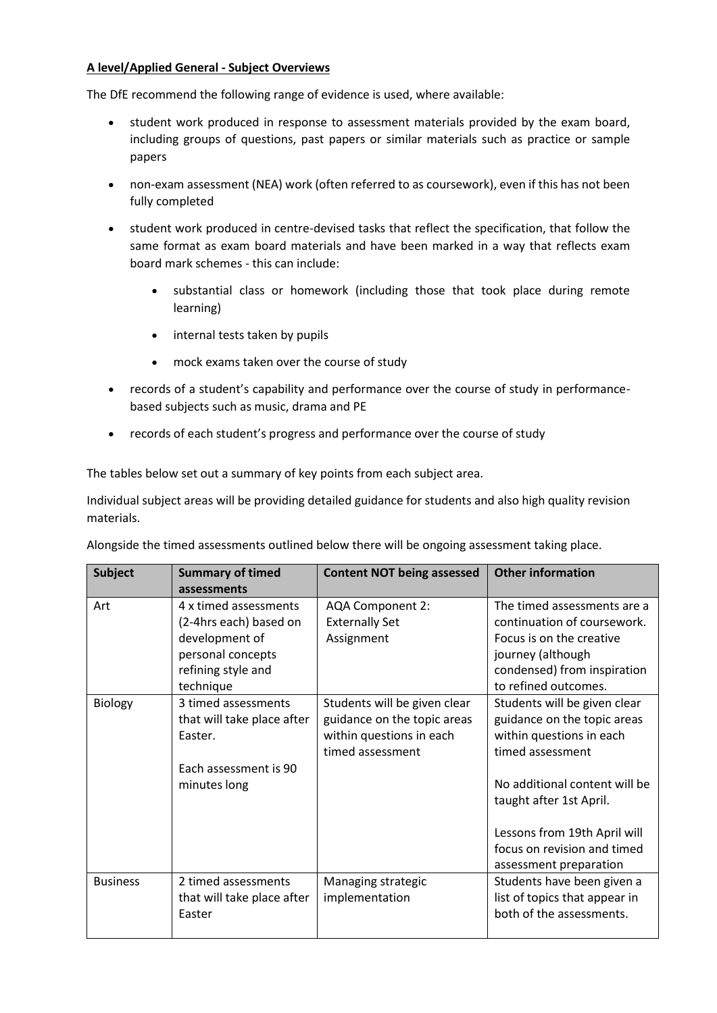## **A level/Applied General - Subject Overviews**

The DfE recommend the following range of evidence is used, where available:

- student work produced in response to assessment materials provided by the exam board, including groups of questions, past papers or similar materials such as practice or sample papers
- non-exam assessment (NEA) work (often referred to as coursework), even if this has not been fully completed
- student work produced in centre-devised tasks that reflect the specification, that follow the same format as exam board materials and have been marked in a way that reflects exam board mark schemes - this can include:
	- substantial class or homework (including those that took place during remote learning)
	- internal tests taken by pupils
	- mock exams taken over the course of study
- records of a student's capability and performance over the course of study in performancebased subjects such as music, drama and PE
- records of each student's progress and performance over the course of study

The tables below set out a summary of key points from each subject area.

Individual subject areas will be providing detailed guidance for students and also high quality revision materials.

| Alongside the timed assessments outlined below there will be ongoing assessment taking place. |  |  |
|-----------------------------------------------------------------------------------------------|--|--|
|                                                                                               |  |  |
|                                                                                               |  |  |
|                                                                                               |  |  |

| <b>Subject</b>  | <b>Summary of timed</b><br>assessments                                                                                    | <b>Content NOT being assessed</b>                                                                           | <b>Other information</b>                                                                                                                                                                                                                                         |
|-----------------|---------------------------------------------------------------------------------------------------------------------------|-------------------------------------------------------------------------------------------------------------|------------------------------------------------------------------------------------------------------------------------------------------------------------------------------------------------------------------------------------------------------------------|
| Art             | 4 x timed assessments<br>(2-4hrs each) based on<br>development of<br>personal concepts<br>refining style and<br>technique | AQA Component 2:<br><b>Externally Set</b><br>Assignment                                                     | The timed assessments are a<br>continuation of coursework.<br>Focus is on the creative<br>journey (although<br>condensed) from inspiration<br>to refined outcomes.                                                                                               |
| Biology         | 3 timed assessments<br>that will take place after<br>Easter.<br>Each assessment is 90<br>minutes long                     | Students will be given clear<br>guidance on the topic areas<br>within questions in each<br>timed assessment | Students will be given clear<br>guidance on the topic areas<br>within questions in each<br>timed assessment<br>No additional content will be<br>taught after 1st April.<br>Lessons from 19th April will<br>focus on revision and timed<br>assessment preparation |
| <b>Business</b> | 2 timed assessments<br>that will take place after<br>Easter                                                               | Managing strategic<br>implementation                                                                        | Students have been given a<br>list of topics that appear in<br>both of the assessments.                                                                                                                                                                          |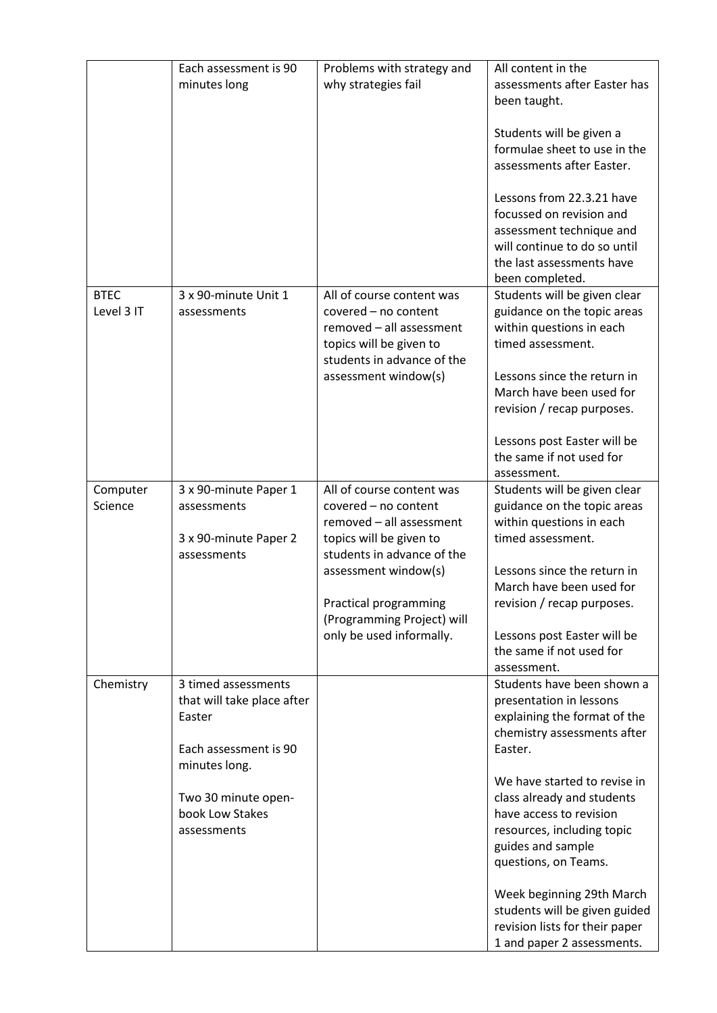|             | Each assessment is 90<br>minutes long             | Problems with strategy and<br>why strategies fail     | All content in the<br>assessments after Easter has<br>been taught.<br>Students will be given a<br>formulae sheet to use in the                                    |
|-------------|---------------------------------------------------|-------------------------------------------------------|-------------------------------------------------------------------------------------------------------------------------------------------------------------------|
|             |                                                   |                                                       | assessments after Easter.                                                                                                                                         |
|             |                                                   |                                                       | Lessons from 22.3.21 have<br>focussed on revision and<br>assessment technique and<br>will continue to do so until<br>the last assessments have<br>been completed. |
| <b>BTEC</b> | 3 x 90-minute Unit 1                              | All of course content was                             | Students will be given clear                                                                                                                                      |
| Level 3 IT  | assessments                                       | covered - no content<br>removed - all assessment      | guidance on the topic areas<br>within questions in each                                                                                                           |
|             |                                                   | topics will be given to<br>students in advance of the | timed assessment.                                                                                                                                                 |
|             |                                                   | assessment window(s)                                  | Lessons since the return in                                                                                                                                       |
|             |                                                   |                                                       | March have been used for                                                                                                                                          |
|             |                                                   |                                                       | revision / recap purposes.                                                                                                                                        |
|             |                                                   |                                                       | Lessons post Easter will be                                                                                                                                       |
|             |                                                   |                                                       | the same if not used for<br>assessment.                                                                                                                           |
| Computer    | 3 x 90-minute Paper 1                             | All of course content was                             | Students will be given clear                                                                                                                                      |
| Science     | assessments                                       | covered - no content                                  | guidance on the topic areas                                                                                                                                       |
|             |                                                   | removed - all assessment                              | within questions in each                                                                                                                                          |
|             | 3 x 90-minute Paper 2<br>assessments              | topics will be given to<br>students in advance of the | timed assessment.                                                                                                                                                 |
|             |                                                   | assessment window(s)                                  | Lessons since the return in                                                                                                                                       |
|             |                                                   |                                                       | March have been used for                                                                                                                                          |
|             |                                                   | Practical programming<br>(Programming Project) will   | revision / recap purposes.                                                                                                                                        |
|             |                                                   | only be used informally.                              | Lessons post Easter will be                                                                                                                                       |
|             |                                                   |                                                       | the same if not used for                                                                                                                                          |
|             |                                                   |                                                       | assessment.                                                                                                                                                       |
| Chemistry   | 3 timed assessments<br>that will take place after |                                                       | Students have been shown a<br>presentation in lessons                                                                                                             |
|             | Easter                                            |                                                       | explaining the format of the                                                                                                                                      |
|             |                                                   |                                                       | chemistry assessments after                                                                                                                                       |
|             | Each assessment is 90                             |                                                       | Easter.                                                                                                                                                           |
|             | minutes long.                                     |                                                       |                                                                                                                                                                   |
|             |                                                   |                                                       | We have started to revise in                                                                                                                                      |
|             | Two 30 minute open-<br>book Low Stakes            |                                                       | class already and students<br>have access to revision                                                                                                             |
|             | assessments                                       |                                                       | resources, including topic                                                                                                                                        |
|             |                                                   |                                                       | guides and sample                                                                                                                                                 |
|             |                                                   |                                                       | questions, on Teams.                                                                                                                                              |
|             |                                                   |                                                       | Week beginning 29th March                                                                                                                                         |
|             |                                                   |                                                       | students will be given guided                                                                                                                                     |
|             |                                                   |                                                       | revision lists for their paper                                                                                                                                    |
|             |                                                   |                                                       | 1 and paper 2 assessments.                                                                                                                                        |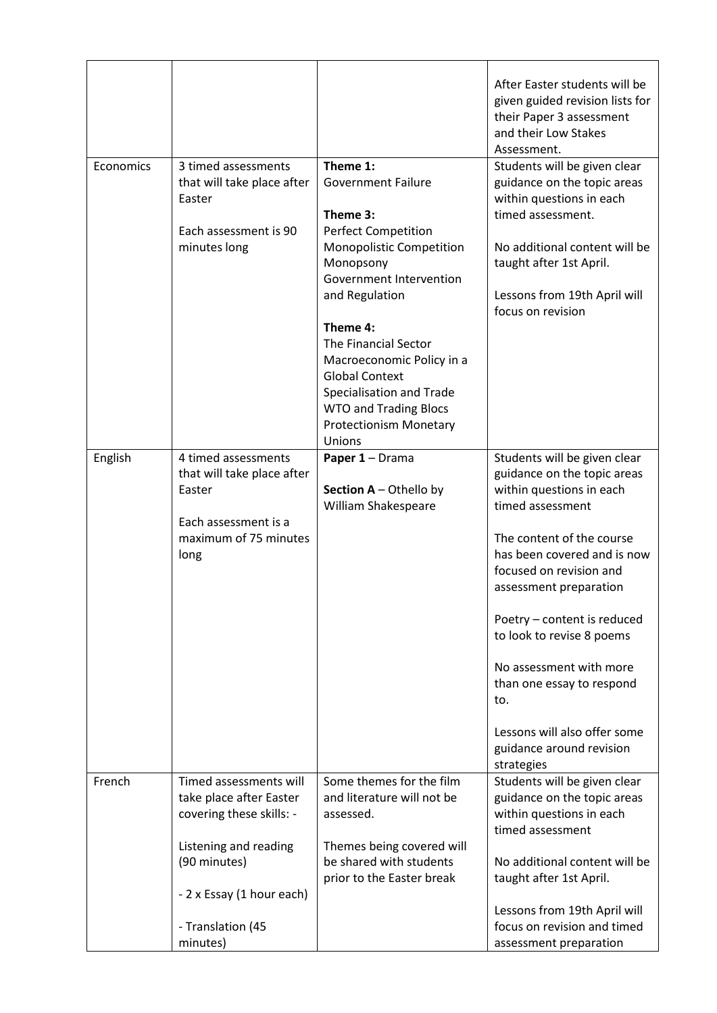|           |                                                                                                                                                                                      |                                                                                                                                                                                                                                                                                                                                                              | After Easter students will be<br>given guided revision lists for<br>their Paper 3 assessment<br>and their Low Stakes<br>Assessment.                                                                                                                                                                                                                                                                                               |
|-----------|--------------------------------------------------------------------------------------------------------------------------------------------------------------------------------------|--------------------------------------------------------------------------------------------------------------------------------------------------------------------------------------------------------------------------------------------------------------------------------------------------------------------------------------------------------------|-----------------------------------------------------------------------------------------------------------------------------------------------------------------------------------------------------------------------------------------------------------------------------------------------------------------------------------------------------------------------------------------------------------------------------------|
| Economics | 3 timed assessments<br>that will take place after<br>Easter<br>Each assessment is 90<br>minutes long                                                                                 | Theme 1:<br><b>Government Failure</b><br>Theme 3:<br><b>Perfect Competition</b><br>Monopolistic Competition<br>Monopsony<br>Government Intervention<br>and Regulation<br>Theme 4:<br>The Financial Sector<br>Macroeconomic Policy in a<br><b>Global Context</b><br>Specialisation and Trade<br><b>WTO and Trading Blocs</b><br><b>Protectionism Monetary</b> | Students will be given clear<br>guidance on the topic areas<br>within questions in each<br>timed assessment.<br>No additional content will be<br>taught after 1st April.<br>Lessons from 19th April will<br>focus on revision                                                                                                                                                                                                     |
| English   | 4 timed assessments<br>that will take place after<br>Easter<br>Each assessment is a<br>maximum of 75 minutes<br>long                                                                 | Unions<br>Paper 1 - Drama<br>Section A - Othello by<br>William Shakespeare                                                                                                                                                                                                                                                                                   | Students will be given clear<br>guidance on the topic areas<br>within questions in each<br>timed assessment<br>The content of the course<br>has been covered and is now<br>focused on revision and<br>assessment preparation<br>Poetry - content is reduced<br>to look to revise 8 poems<br>No assessment with more<br>than one essay to respond<br>to.<br>Lessons will also offer some<br>guidance around revision<br>strategies |
| French    | Timed assessments will<br>take place after Easter<br>covering these skills: -<br>Listening and reading<br>(90 minutes)<br>- 2 x Essay (1 hour each)<br>- Translation (45<br>minutes) | Some themes for the film<br>and literature will not be<br>assessed.<br>Themes being covered will<br>be shared with students<br>prior to the Easter break                                                                                                                                                                                                     | Students will be given clear<br>guidance on the topic areas<br>within questions in each<br>timed assessment<br>No additional content will be<br>taught after 1st April.<br>Lessons from 19th April will<br>focus on revision and timed<br>assessment preparation                                                                                                                                                                  |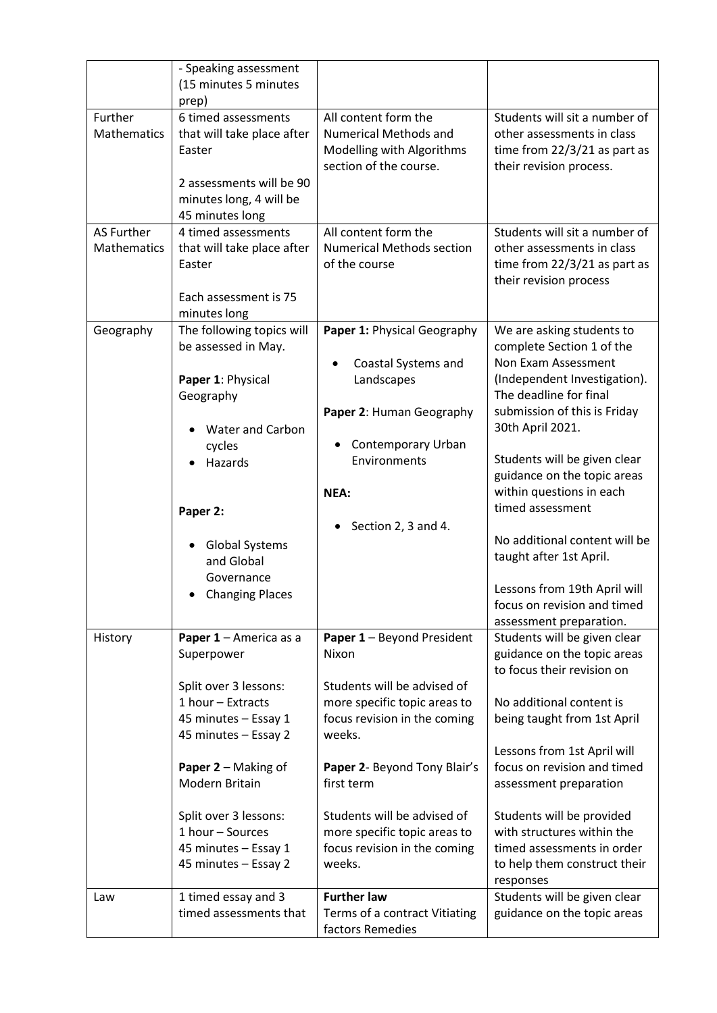|                    | - Speaking assessment                 |                                            |                                                        |
|--------------------|---------------------------------------|--------------------------------------------|--------------------------------------------------------|
|                    | (15 minutes 5 minutes                 |                                            |                                                        |
|                    | prep)                                 |                                            |                                                        |
| Further            | 6 timed assessments                   | All content form the                       | Students will sit a number of                          |
| <b>Mathematics</b> | that will take place after            | <b>Numerical Methods and</b>               | other assessments in class                             |
|                    | Easter                                | Modelling with Algorithms                  | time from $22/3/21$ as part as                         |
|                    | 2 assessments will be 90              | section of the course.                     | their revision process.                                |
|                    | minutes long, 4 will be               |                                            |                                                        |
|                    | 45 minutes long                       |                                            |                                                        |
| <b>AS Further</b>  | 4 timed assessments                   | All content form the                       | Students will sit a number of                          |
| <b>Mathematics</b> | that will take place after            | <b>Numerical Methods section</b>           | other assessments in class                             |
|                    | Easter                                | of the course                              | time from $22/3/21$ as part as                         |
|                    |                                       |                                            | their revision process                                 |
|                    | Each assessment is 75                 |                                            |                                                        |
|                    | minutes long                          |                                            |                                                        |
| Geography          | The following topics will             | Paper 1: Physical Geography                | We are asking students to                              |
|                    | be assessed in May.                   |                                            | complete Section 1 of the                              |
|                    |                                       | Coastal Systems and                        | Non Exam Assessment                                    |
|                    | Paper 1: Physical                     | Landscapes                                 | (Independent Investigation).<br>The deadline for final |
|                    | Geography                             |                                            | submission of this is Friday                           |
|                    | <b>Water and Carbon</b>               | Paper 2: Human Geography                   | 30th April 2021.                                       |
|                    | cycles                                | Contemporary Urban                         |                                                        |
|                    | Hazards                               | Environments                               | Students will be given clear                           |
|                    |                                       |                                            | guidance on the topic areas                            |
|                    |                                       | NEA:                                       | within questions in each                               |
|                    | Paper 2:                              |                                            | timed assessment                                       |
|                    |                                       | Section 2, 3 and 4.<br>$\bullet$           |                                                        |
|                    | <b>Global Systems</b>                 |                                            | No additional content will be                          |
|                    | and Global                            |                                            | taught after 1st April.                                |
|                    | Governance                            |                                            | Lessons from 19th April will                           |
|                    | <b>Changing Places</b>                |                                            | focus on revision and timed                            |
|                    |                                       |                                            | assessment preparation.                                |
| History            | Paper 1 - America as a                | Paper 1 - Beyond President                 | Students will be given clear                           |
|                    | Superpower                            | Nixon                                      | guidance on the topic areas                            |
|                    |                                       |                                            | to focus their revision on                             |
|                    | Split over 3 lessons:                 | Students will be advised of                |                                                        |
|                    | 1 hour - Extracts                     | more specific topic areas to               | No additional content is                               |
|                    | 45 minutes - Essay 1                  | focus revision in the coming               | being taught from 1st April                            |
|                    | 45 minutes - Essay 2                  | weeks.                                     |                                                        |
|                    |                                       |                                            | Lessons from 1st April will                            |
|                    | Paper 2 - Making of<br>Modern Britain | Paper 2- Beyond Tony Blair's<br>first term | focus on revision and timed                            |
|                    |                                       |                                            | assessment preparation                                 |
|                    | Split over 3 lessons:                 | Students will be advised of                | Students will be provided                              |
|                    | 1 hour - Sources                      | more specific topic areas to               | with structures within the                             |
|                    | 45 minutes - Essay 1                  | focus revision in the coming               | timed assessments in order                             |
|                    | 45 minutes - Essay 2                  | weeks.                                     | to help them construct their                           |
|                    |                                       |                                            | responses                                              |
| Law                | 1 timed essay and 3                   | <b>Further law</b>                         | Students will be given clear                           |
|                    | timed assessments that                | Terms of a contract Vitiating              | guidance on the topic areas                            |
|                    |                                       | factors Remedies                           |                                                        |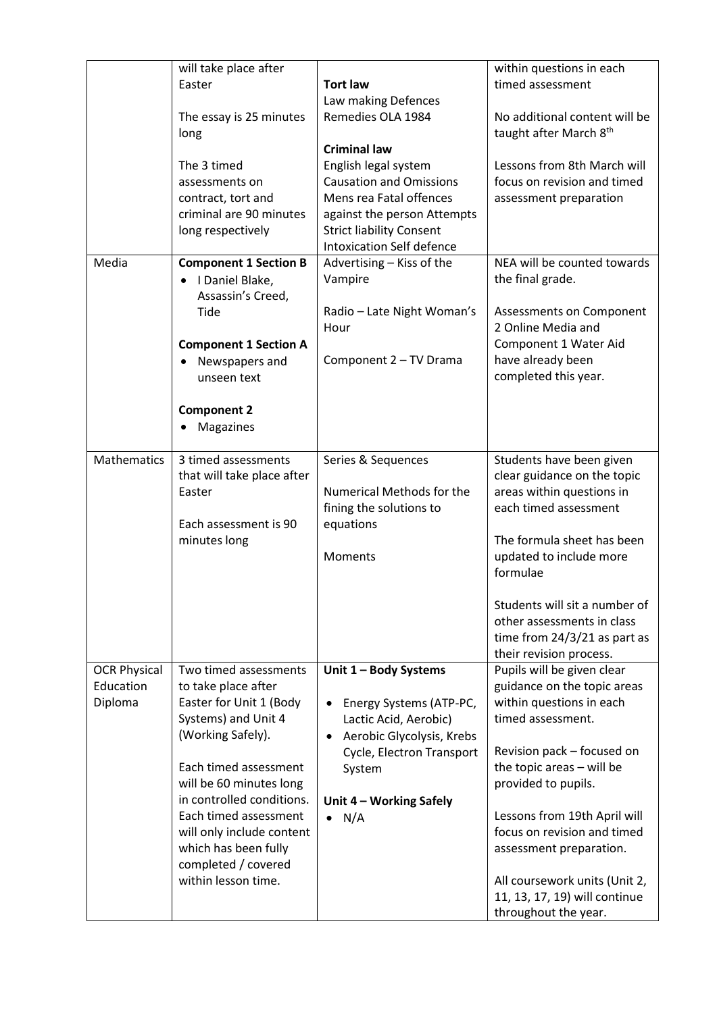|                     | will take place after                                |                                             | within questions in each       |
|---------------------|------------------------------------------------------|---------------------------------------------|--------------------------------|
|                     | Easter                                               | <b>Tort law</b>                             | timed assessment               |
|                     |                                                      | Law making Defences                         |                                |
|                     | The essay is 25 minutes                              | Remedies OLA 1984                           | No additional content will be  |
|                     | long                                                 | <b>Criminal law</b>                         | taught after March 8th         |
|                     | The 3 timed                                          | English legal system                        | Lessons from 8th March will    |
|                     | assessments on                                       | <b>Causation and Omissions</b>              | focus on revision and timed    |
|                     | contract, tort and                                   | Mens rea Fatal offences                     | assessment preparation         |
|                     | criminal are 90 minutes                              | against the person Attempts                 |                                |
|                     | long respectively                                    | <b>Strict liability Consent</b>             |                                |
|                     |                                                      | <b>Intoxication Self defence</b>            |                                |
| Media               | <b>Component 1 Section B</b>                         | Advertising - Kiss of the                   | NEA will be counted towards    |
|                     | I Daniel Blake,<br>$\bullet$                         | Vampire                                     | the final grade.               |
|                     | Assassin's Creed,                                    |                                             |                                |
|                     | Tide                                                 | Radio - Late Night Woman's                  | Assessments on Component       |
|                     |                                                      | Hour                                        | 2 Online Media and             |
|                     | <b>Component 1 Section A</b>                         |                                             | Component 1 Water Aid          |
|                     | Newspapers and                                       | Component 2 - TV Drama                      | have already been              |
|                     | unseen text                                          |                                             | completed this year.           |
|                     |                                                      |                                             |                                |
|                     | <b>Component 2</b>                                   |                                             |                                |
|                     | Magazines                                            |                                             |                                |
| <b>Mathematics</b>  | 3 timed assessments                                  | Series & Sequences                          | Students have been given       |
|                     | that will take place after                           |                                             | clear guidance on the topic    |
|                     | Easter                                               | Numerical Methods for the                   | areas within questions in      |
|                     |                                                      | fining the solutions to                     | each timed assessment          |
|                     | Each assessment is 90                                | equations                                   |                                |
|                     | minutes long                                         |                                             | The formula sheet has been     |
|                     |                                                      | <b>Moments</b>                              | updated to include more        |
|                     |                                                      |                                             | formulae                       |
|                     |                                                      |                                             | Students will sit a number of  |
|                     |                                                      |                                             | other assessments in class     |
|                     |                                                      |                                             | time from $24/3/21$ as part as |
|                     |                                                      |                                             | their revision process.        |
| <b>OCR Physical</b> | Two timed assessments                                | Unit 1 - Body Systems                       | Pupils will be given clear     |
| Education           | to take place after                                  |                                             | guidance on the topic areas    |
| Diploma             | Easter for Unit 1 (Body                              | Energy Systems (ATP-PC,                     | within questions in each       |
|                     | Systems) and Unit 4                                  | Lactic Acid, Aerobic)                       | timed assessment.              |
|                     | (Working Safely).                                    | Aerobic Glycolysis, Krebs                   |                                |
|                     |                                                      | Cycle, Electron Transport                   | Revision pack - focused on     |
|                     | Each timed assessment                                | System                                      | the topic areas - will be      |
|                     | will be 60 minutes long<br>in controlled conditions. |                                             | provided to pupils.            |
|                     | Each timed assessment                                | Unit 4 - Working Safely<br>N/A<br>$\bullet$ | Lessons from 19th April will   |
|                     | will only include content                            |                                             | focus on revision and timed    |
|                     | which has been fully                                 |                                             | assessment preparation.        |
|                     | completed / covered                                  |                                             |                                |
|                     | within lesson time.                                  |                                             | All coursework units (Unit 2,  |
|                     |                                                      |                                             | 11, 13, 17, 19) will continue  |
|                     |                                                      |                                             | throughout the year.           |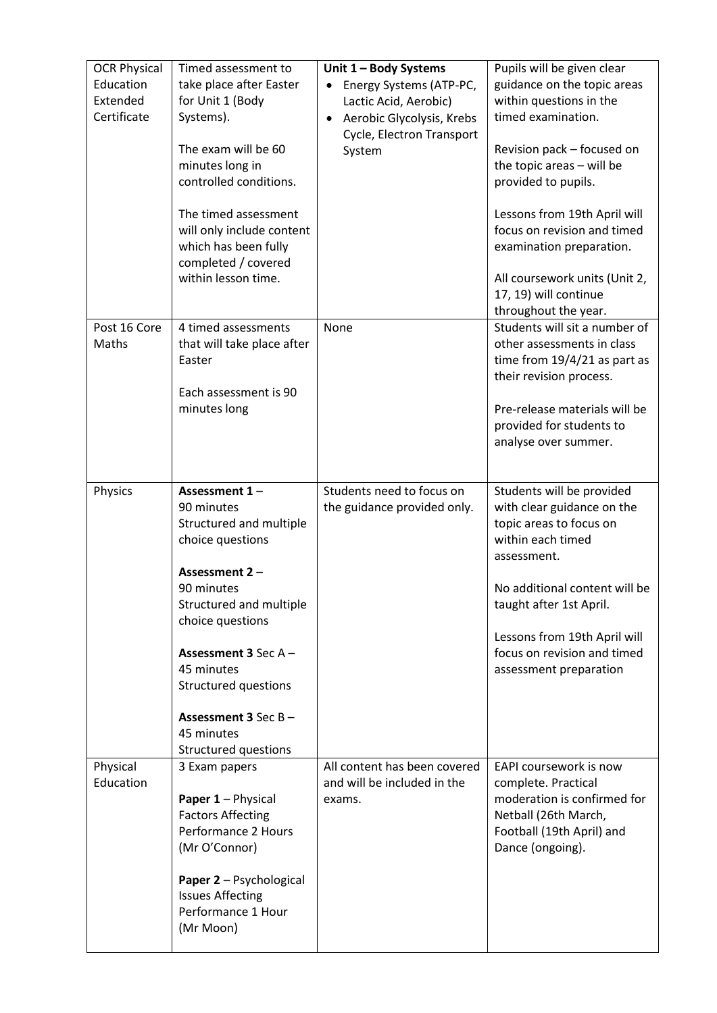| <b>OCR Physical</b><br>Education<br>Extended<br>Certificate | Timed assessment to<br>take place after Easter<br>for Unit 1 (Body<br>Systems).<br>The exam will be 60<br>minutes long in<br>controlled conditions.<br>The timed assessment<br>will only include content<br>which has been fully<br>completed / covered<br>within lesson time.            | Unit 1 - Body Systems<br>Energy Systems (ATP-PC,<br>Lactic Acid, Aerobic)<br>Aerobic Glycolysis, Krebs<br>$\bullet$<br>Cycle, Electron Transport<br>System | Pupils will be given clear<br>guidance on the topic areas<br>within questions in the<br>timed examination.<br>Revision pack - focused on<br>the topic areas - will be<br>provided to pupils.<br>Lessons from 19th April will<br>focus on revision and timed<br>examination preparation.<br>All coursework units (Unit 2,<br>17, 19) will continue<br>throughout the year. |
|-------------------------------------------------------------|-------------------------------------------------------------------------------------------------------------------------------------------------------------------------------------------------------------------------------------------------------------------------------------------|------------------------------------------------------------------------------------------------------------------------------------------------------------|---------------------------------------------------------------------------------------------------------------------------------------------------------------------------------------------------------------------------------------------------------------------------------------------------------------------------------------------------------------------------|
| Post 16 Core<br>Maths                                       | 4 timed assessments<br>that will take place after<br>Easter<br>Each assessment is 90<br>minutes long                                                                                                                                                                                      | None                                                                                                                                                       | Students will sit a number of<br>other assessments in class<br>time from $19/4/21$ as part as<br>their revision process.<br>Pre-release materials will be<br>provided for students to<br>analyse over summer.                                                                                                                                                             |
| Physics                                                     | Assessment 1-<br>90 minutes<br>Structured and multiple<br>choice questions<br>Assessment 2-<br>90 minutes<br>Structured and multiple<br>choice questions<br>Assessment 3 Sec A-<br>45 minutes<br><b>Structured questions</b><br>Assessment 3 Sec B-<br>45 minutes<br>Structured questions | Students need to focus on<br>the guidance provided only.                                                                                                   | Students will be provided<br>with clear guidance on the<br>topic areas to focus on<br>within each timed<br>assessment.<br>No additional content will be<br>taught after 1st April.<br>Lessons from 19th April will<br>focus on revision and timed<br>assessment preparation                                                                                               |
| Physical<br>Education                                       | 3 Exam papers<br>Paper 1 - Physical<br><b>Factors Affecting</b><br>Performance 2 Hours<br>(Mr O'Connor)<br>Paper 2 - Psychological<br><b>Issues Affecting</b><br>Performance 1 Hour<br>(Mr Moon)                                                                                          | All content has been covered<br>and will be included in the<br>exams.                                                                                      | EAPI coursework is now<br>complete. Practical<br>moderation is confirmed for<br>Netball (26th March,<br>Football (19th April) and<br>Dance (ongoing).                                                                                                                                                                                                                     |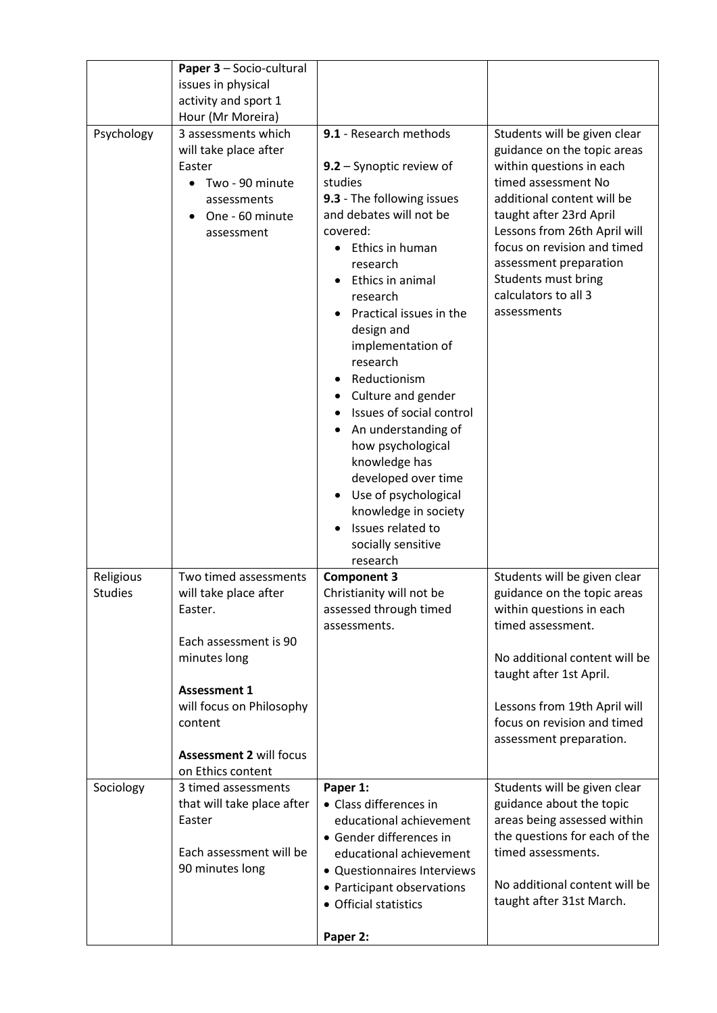|                             | Paper 3 - Socio-cultural                                                                                                                                                                           |                                                                                                                                                                                                                                                                                                                                                                                                                                                                                                                                          |                                                                                                                                                                                                                                                                                                                                |
|-----------------------------|----------------------------------------------------------------------------------------------------------------------------------------------------------------------------------------------------|------------------------------------------------------------------------------------------------------------------------------------------------------------------------------------------------------------------------------------------------------------------------------------------------------------------------------------------------------------------------------------------------------------------------------------------------------------------------------------------------------------------------------------------|--------------------------------------------------------------------------------------------------------------------------------------------------------------------------------------------------------------------------------------------------------------------------------------------------------------------------------|
|                             | issues in physical                                                                                                                                                                                 |                                                                                                                                                                                                                                                                                                                                                                                                                                                                                                                                          |                                                                                                                                                                                                                                                                                                                                |
|                             | activity and sport 1                                                                                                                                                                               |                                                                                                                                                                                                                                                                                                                                                                                                                                                                                                                                          |                                                                                                                                                                                                                                                                                                                                |
|                             | Hour (Mr Moreira)                                                                                                                                                                                  |                                                                                                                                                                                                                                                                                                                                                                                                                                                                                                                                          |                                                                                                                                                                                                                                                                                                                                |
| Psychology                  | 3 assessments which<br>will take place after<br>Easter<br>Two - 90 minute<br>assessments<br>One - 60 minute<br>assessment                                                                          | 9.1 - Research methods<br>9.2 - Synoptic review of<br>studies<br>9.3 - The following issues<br>and debates will not be<br>covered:<br>Ethics in human<br>research<br>Ethics in animal<br>research<br>Practical issues in the<br>design and<br>implementation of<br>research<br>Reductionism<br>Culture and gender<br>Issues of social control<br>An understanding of<br>how psychological<br>knowledge has<br>developed over time<br>Use of psychological<br>knowledge in society<br>Issues related to<br>socially sensitive<br>research | Students will be given clear<br>guidance on the topic areas<br>within questions in each<br>timed assessment No<br>additional content will be<br>taught after 23rd April<br>Lessons from 26th April will<br>focus on revision and timed<br>assessment preparation<br>Students must bring<br>calculators to all 3<br>assessments |
| Religious<br><b>Studies</b> | Two timed assessments<br>will take place after<br>Easter.<br>Each assessment is 90<br>minutes long<br><b>Assessment 1</b><br>will focus on Philosophy<br>content<br><b>Assessment 2 will focus</b> | <b>Component 3</b><br>Christianity will not be<br>assessed through timed<br>assessments.                                                                                                                                                                                                                                                                                                                                                                                                                                                 | Students will be given clear<br>guidance on the topic areas<br>within questions in each<br>timed assessment.<br>No additional content will be<br>taught after 1st April.<br>Lessons from 19th April will<br>focus on revision and timed<br>assessment preparation.                                                             |
|                             | on Ethics content                                                                                                                                                                                  |                                                                                                                                                                                                                                                                                                                                                                                                                                                                                                                                          |                                                                                                                                                                                                                                                                                                                                |
| Sociology                   | 3 timed assessments<br>that will take place after<br>Easter<br>Each assessment will be<br>90 minutes long                                                                                          | Paper 1:<br>• Class differences in<br>educational achievement<br>• Gender differences in<br>educational achievement<br>• Questionnaires Interviews<br>• Participant observations<br>• Official statistics<br>Paper 2:                                                                                                                                                                                                                                                                                                                    | Students will be given clear<br>guidance about the topic<br>areas being assessed within<br>the questions for each of the<br>timed assessments.<br>No additional content will be<br>taught after 31st March.                                                                                                                    |